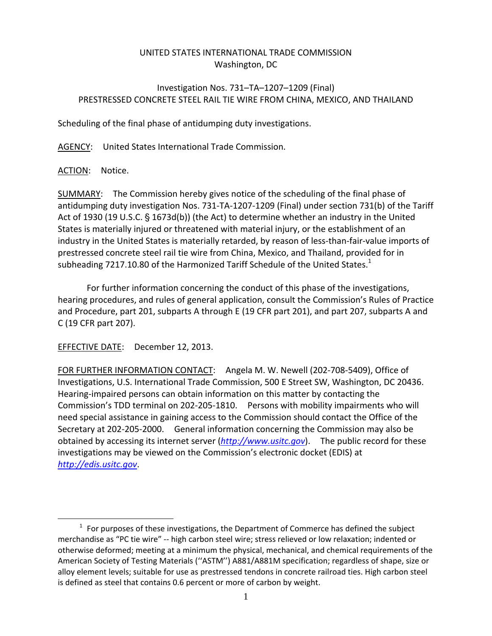## UNITED STATES INTERNATIONAL TRADE COMMISSION Washington, DC

## Investigation Nos. 731–TA–1207–1209 (Final) PRESTRESSED CONCRETE STEEL RAIL TIE WIRE FROM CHINA, MEXICO, AND THAILAND

Scheduling of the final phase of antidumping duty investigations.

AGENCY: United States International Trade Commission.

## ACTION: Notice.

 $\overline{a}$ 

SUMMARY: The Commission hereby gives notice of the scheduling of the final phase of antidumping duty investigation Nos. 731‐TA‐1207‐1209 (Final) under section 731(b) of the Tariff Act of 1930 (19 U.S.C.  $\S$  1673d(b)) (the Act) to determine whether an industry in the United States is materially injured or threatened with material injury, or the establishment of an industry in the United States is materially retarded, by reason of less-than-fair-value imports of prestressed concrete steel rail tie wire from China, Mexico, and Thailand, provided for in subheading 7217.10.80 of the Harmonized Tariff Schedule of the United States. $1$ 

For further information concerning the conduct of this phase of the investigations, hearing procedures, and rules of general application, consult the Commission's Rules of Practice and Procedure, part 201, subparts A through E (19 CFR part 201), and part 207, subparts A and C (19 CFR part 207).

EFFECTIVE DATE: December 12, 2013.

FOR FURTHER INFORMATION CONTACT: Angela M. W. Newell (202-708-5409), Office of Investigations, U.S. International Trade Commission, 500 E Street SW, Washington, DC 20436. Hearing‐impaired persons can obtain information on this matter by contacting the Commission's TDD terminal on 202‐205‐1810. Persons with mobility impairments who will need special assistance in gaining access to the Commission should contact the Office of the Secretary at 202‐205‐2000. General information concerning the Commission may also be obtained by accessing its internet server (*http://www.usitc.gov*). The public record for these investigations may be viewed on the Commission's electronic docket (EDIS) at *http://edis.usitc.gov*.

 $1$  For purposes of these investigations, the Department of Commerce has defined the subject merchandise as "PC tie wire" -- high carbon steel wire; stress relieved or low relaxation; indented or otherwise deformed; meeting at a minimum the physical, mechanical, and chemical requirements of the American Society of Testing Materials (''ASTM'') A881/A881M specification; regardless of shape, size or alloy element levels; suitable for use as prestressed tendons in concrete railroad ties. High carbon steel is defined as steel that contains 0.6 percent or more of carbon by weight.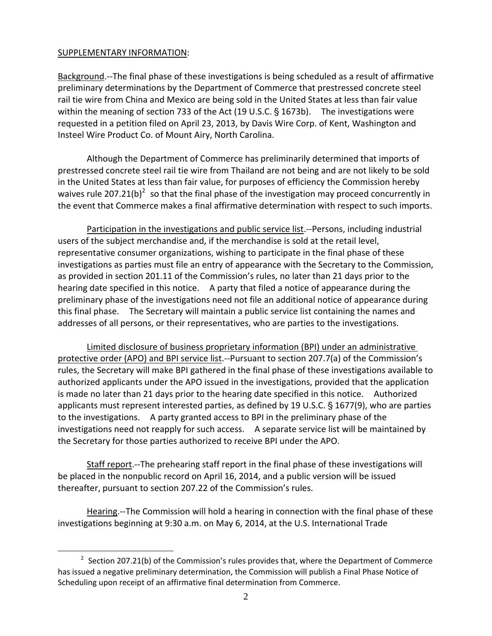## SUPPLEMENTARY INFORMATION:

 $\overline{a}$ 

Background.‐‐The final phase of these investigations is being scheduled as a result of affirmative preliminary determinations by the Department of Commerce that prestressed concrete steel rail tie wire from China and Mexico are being sold in the United States at less than fair value within the meaning of section 733 of the Act  $(19 \text{ U.S.C.} \text{S } 1673b)$ . The investigations were requested in a petition filed on April 23, 2013, by Davis Wire Corp. of Kent, Washington and Insteel Wire Product Co. of Mount Airy, North Carolina.

Although the Department of Commerce has preliminarily determined that imports of prestressed concrete steel rail tie wire from Thailand are not being and are not likely to be sold in the United States at less than fair value, for purposes of efficiency the Commission hereby waives rule 207.21(b)<sup>2</sup> so that the final phase of the investigation may proceed concurrently in the event that Commerce makes a final affirmative determination with respect to such imports.

Participation in the investigations and public service list.--Persons, including industrial users of the subject merchandise and, if the merchandise is sold at the retail level, representative consumer organizations, wishing to participate in the final phase of these investigations as parties must file an entry of appearance with the Secretary to the Commission, as provided in section 201.11 of the Commission's rules, no later than 21 days prior to the hearing date specified in this notice. A party that filed a notice of appearance during the preliminary phase of the investigations need not file an additional notice of appearance during this final phase. The Secretary will maintain a public service list containing the names and addresses of all persons, or their representatives, who are parties to the investigations.

Limited disclosure of business proprietary information (BPI) under an administrative protective order (APO) and BPI service list.‐‐Pursuant to section 207.7(a) of the Commission's rules, the Secretary will make BPI gathered in the final phase of these investigations available to authorized applicants under the APO issued in the investigations, provided that the application is made no later than 21 days prior to the hearing date specified in this notice. Authorized applicants must represent interested parties, as defined by 19 U.S.C. § 1677(9), who are parties to the investigations. A party granted access to BPI in the preliminary phase of the investigations need not reapply for such access. A separate service list will be maintained by the Secretary for those parties authorized to receive BPI under the APO.

Staff report.‐‐The prehearing staff report in the final phase of these investigations will be placed in the nonpublic record on April 16, 2014, and a public version will be issued thereafter, pursuant to section 207.22 of the Commission's rules.

Hearing.‐‐The Commission will hold a hearing in connection with the final phase of these investigations beginning at 9:30 a.m. on May 6, 2014, at the U.S. International Trade

 $2$  Section 207.21(b) of the Commission's rules provides that, where the Department of Commerce has issued a negative preliminary determination, the Commission will publish a Final Phase Notice of Scheduling upon receipt of an affirmative final determination from Commerce.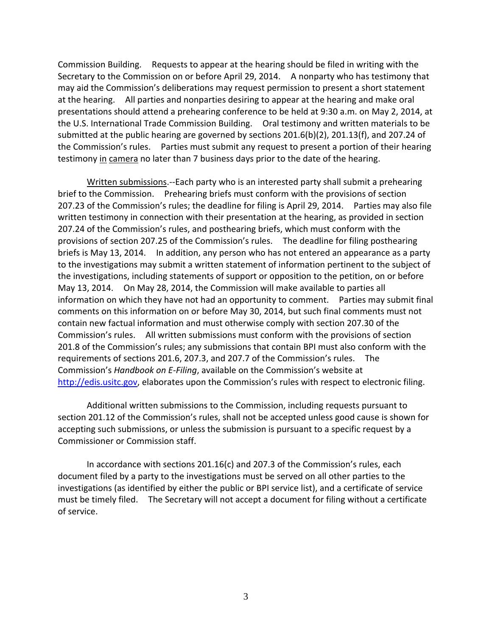Commission Building. Requests to appear at the hearing should be filed in writing with the Secretary to the Commission on or before April 29, 2014. A nonparty who has testimony that may aid the Commission's deliberations may request permission to present a short statement at the hearing. All parties and nonparties desiring to appear at the hearing and make oral presentations should attend a prehearing conference to be held at 9:30 a.m. on May 2, 2014, at the U.S. International Trade Commission Building. Oral testimony and written materials to be submitted at the public hearing are governed by sections 201.6(b)(2), 201.13(f), and 207.24 of the Commission's rules. Parties must submit any request to present a portion of their hearing testimony in camera no later than 7 business days prior to the date of the hearing.

Written submissions.‐‐Each party who is an interested party shall submit a prehearing brief to the Commission. Prehearing briefs must conform with the provisions of section 207.23 of the Commission's rules; the deadline for filing is April 29, 2014. Parties may also file written testimony in connection with their presentation at the hearing, as provided in section 207.24 of the Commission's rules, and posthearing briefs, which must conform with the provisions of section 207.25 of the Commission's rules. The deadline for filing posthearing briefs is May 13, 2014. In addition, any person who has not entered an appearance as a party to the investigations may submit a written statement of information pertinent to the subject of the investigations, including statements of support or opposition to the petition, on or before May 13, 2014. On May 28, 2014, the Commission will make available to parties all information on which they have not had an opportunity to comment. Parties may submit final comments on this information on or before May 30, 2014, but such final comments must not contain new factual information and must otherwise comply with section 207.30 of the Commission's rules. All written submissions must conform with the provisions of section 201.8 of the Commission's rules; any submissions that contain BPI must also conform with the requirements of sections 201.6, 207.3, and 207.7 of the Commission's rules. The Commission's *Handbook on E‐Filing*, available on the Commission's website at http://edis.usitc.gov, elaborates upon the Commission's rules with respect to electronic filing.

Additional written submissions to the Commission, including requests pursuant to section 201.12 of the Commission's rules, shall not be accepted unless good cause is shown for accepting such submissions, or unless the submission is pursuant to a specific request by a Commissioner or Commission staff.

In accordance with sections 201.16(c) and 207.3 of the Commission's rules, each document filed by a party to the investigations must be served on all other parties to the investigations (as identified by either the public or BPI service list), and a certificate of service must be timely filed. The Secretary will not accept a document for filing without a certificate of service.